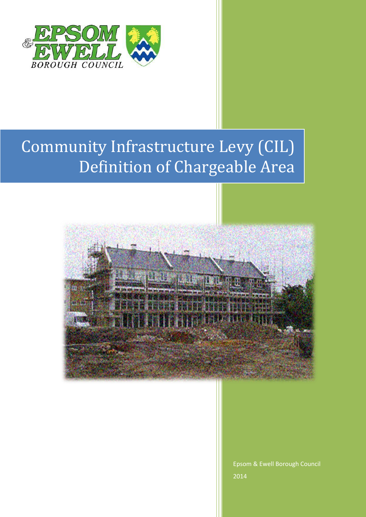

## Community Infrastructure Levy (CIL) Definition of Chargeable Area



Epsom & Ewell Borough Council 2014